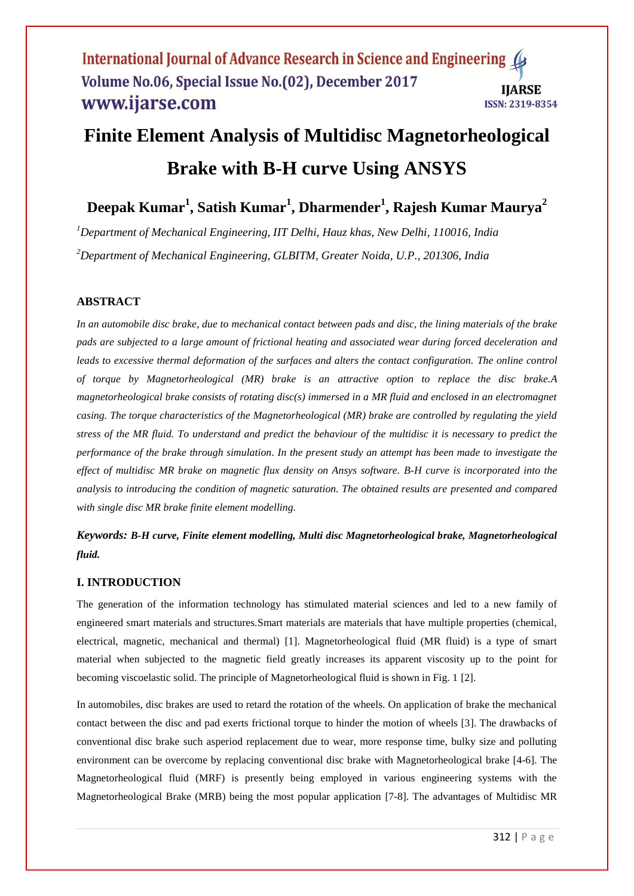# **Finite Element Analysis of Multidisc Magnetorheological Brake with B-H curve Using ANSYS**

**Deepak Kumar<sup>1</sup> , Satish Kumar<sup>1</sup> , Dharmender<sup>1</sup> , Rajesh Kumar Maurya<sup>2</sup>**

*<sup>1</sup>Department of Mechanical Engineering, IIT Delhi, Hauz khas, New Delhi, 110016, India <sup>2</sup>Department of Mechanical Engineering, GLBITM, Greater Noida, U.P., 201306, India*

# **ABSTRACT**

*In an automobile disc brake, due to mechanical contact between pads and disc, the lining materials of the brake pads are subjected to a large amount of frictional heating and associated wear during forced deceleration and*  leads to excessive thermal deformation of the surfaces and alters the contact configuration. The online control *of torque by Magnetorheological (MR) brake is an attractive option to replace the disc brake.A magnetorheological brake consists of rotating disc(s) immersed in a MR fluid and enclosed in an electromagnet casing. The torque characteristics of the Magnetorheological (MR) brake are controlled by regulating the yield stress of the MR fluid. To understand and predict the behaviour of the multidisc it is necessary to predict the performance of the brake through simulation. In the present study an attempt has been made to investigate the effect of multidisc MR brake on magnetic flux density on Ansys software. B-H curve is incorporated into the analysis to introducing the condition of magnetic saturation. The obtained results are presented and compared with single disc MR brake finite element modelling.* 

*Keywords: B-H curve, Finite element modelling, Multi disc Magnetorheological brake, Magnetorheological fluid.*

#### **I. INTRODUCTION**

The generation of the information technology has stimulated material sciences and led to a new family of engineered smart materials and structures.Smart materials are materials that have multiple properties (chemical, electrical, magnetic, mechanical and thermal) [1]. Magnetorheological fluid (MR fluid) is a type of smart material when subjected to the magnetic field greatly increases its apparent viscosity up to the point for becoming viscoelastic solid. The principle of Magnetorheological fluid is shown in Fig. 1 [2].

In automobiles, disc brakes are used to retard the rotation of the wheels. On application of brake the mechanical contact between the disc and pad exerts frictional torque to hinder the motion of wheels [3]. The drawbacks of conventional disc brake such asperiod replacement due to wear, more response time, bulky size and polluting environment can be overcome by replacing conventional disc brake with Magnetorheological brake [4-6]. The Magnetorheological fluid (MRF) is presently being employed in various engineering systems with the Magnetorheological Brake (MRB) being the most popular application [7-8]. The advantages of Multidisc MR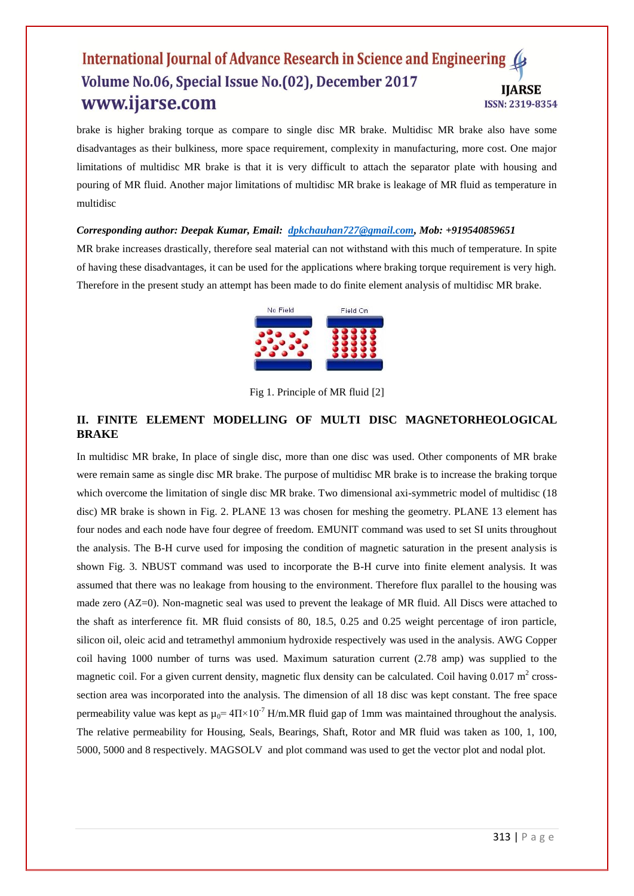brake is higher braking torque as compare to single disc MR brake. Multidisc MR brake also have some disadvantages as their bulkiness, more space requirement, complexity in manufacturing, more cost. One major limitations of multidisc MR brake is that it is very difficult to attach the separator plate with housing and pouring of MR fluid. Another major limitations of multidisc MR brake is leakage of MR fluid as temperature in multidisc

*Corresponding author: Deepak Kumar, Email: [dpkchauhan727@gmail.com,](mailto:dpkchauhan727@gmail.com) Mob: +919540859651*

MR brake increases drastically, therefore seal material can not withstand with this much of temperature. In spite of having these disadvantages, it can be used for the applications where braking torque requirement is very high. Therefore in the present study an attempt has been made to do finite element analysis of multidisc MR brake.



Fig 1. Principle of MR fluid [2]

## **II. FINITE ELEMENT MODELLING OF MULTI DISC MAGNETORHEOLOGICAL BRAKE**

In multidisc MR brake, In place of single disc, more than one disc was used. Other components of MR brake were remain same as single disc MR brake. The purpose of multidisc MR brake is to increase the braking torque which overcome the limitation of single disc MR brake. Two dimensional axi-symmetric model of multidisc (18 disc) MR brake is shown in Fig. 2. PLANE 13 was chosen for meshing the geometry. PLANE 13 element has four nodes and each node have four degree of freedom. EMUNIT command was used to set SI units throughout the analysis. The B-H curve used for imposing the condition of magnetic saturation in the present analysis is shown Fig. 3. NBUST command was used to incorporate the B-H curve into finite element analysis. It was assumed that there was no leakage from housing to the environment. Therefore flux parallel to the housing was made zero (AZ=0). Non-magnetic seal was used to prevent the leakage of MR fluid. All Discs were attached to the shaft as interference fit. MR fluid consists of 80, 18.5, 0.25 and 0.25 weight percentage of iron particle, silicon oil, oleic acid and tetramethyl ammonium hydroxide respectively was used in the analysis. AWG Copper coil having 1000 number of turns was used. Maximum saturation current (2.78 amp) was supplied to the magnetic coil. For a given current density, magnetic flux density can be calculated. Coil having  $0.017 \text{ m}^2$  crosssection area was incorporated into the analysis. The dimension of all 18 disc was kept constant. The free space permeability value was kept as  $\mu_0 = 4\Pi \times 10^{-7}$  H/m.MR fluid gap of 1mm was maintained throughout the analysis. The relative permeability for Housing, Seals, Bearings, Shaft, Rotor and MR fluid was taken as 100, 1, 100, 5000, 5000 and 8 respectively. MAGSOLV and plot command was used to get the vector plot and nodal plot.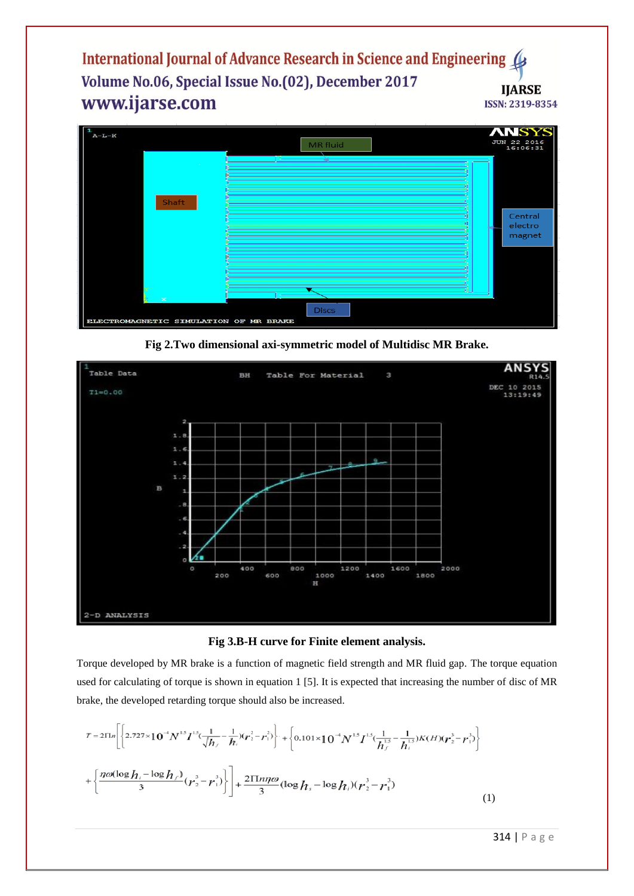

**Fig 2.Two dimensional axi-symmetric model of Multidisc MR Brake.**



**Fig 3.B-H curve for Finite element analysis.**

Torque developed by MR brake is a function of magnetic field strength and MR fluid gap. The torque equation used for calculating of torque is shown in equation 1 [5]. It is expected that increasing the number of disc of MR brake, the developed retarding torque should also be increased.

$$
T = 2 \Pi n \left[ \left\{ 2.727 \times 10^{-4} N^{15} I^{15} \left( \frac{1}{\sqrt{h_r}} - \frac{1}{h_i} \right) \left( \frac{r^2}{r^2} - \frac{r^2}{r^3} \right) \right\} + \left\{ 0.101 \times 10^{-4} N^{15} I^{15} \left( \frac{1}{h_r} - \frac{1}{h_i} \right) K(H) \left( \frac{r^3}{r^2} - \frac{r^3}{r^3} \right) \right\} + \left\{ \frac{\eta \omega (\log h_i - \log h_f)}{3} \left( \frac{r^3}{r^2} - \frac{r^3}{r^3} \right) \right\} + \frac{2 \Pi m \omega}{3} (\log h_s - \log h_i) \left( \frac{r^3}{r^2} - \frac{r^3}{r^3} \right) \tag{1}
$$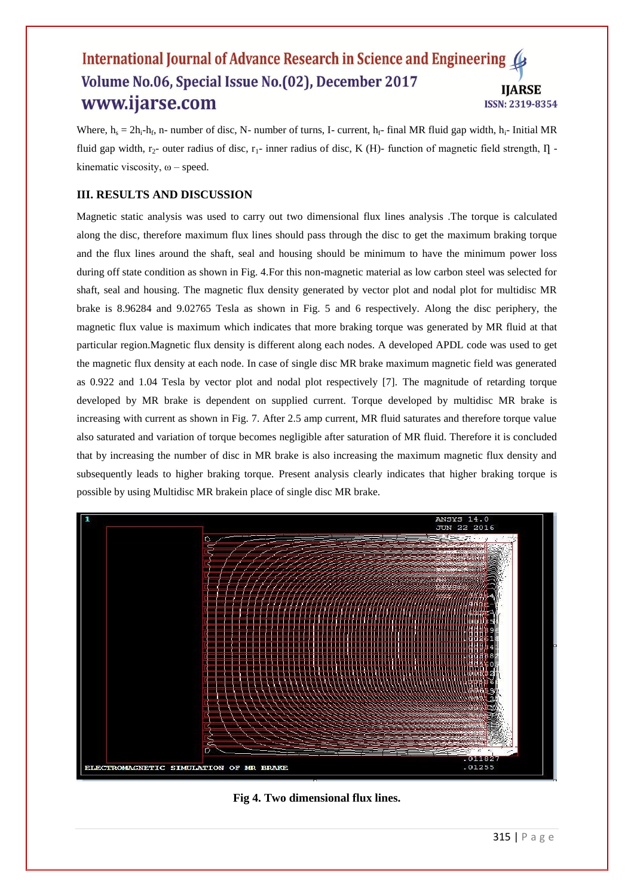Where,  $h_s = 2h_i - h_f$ , n- number of disc, N- number of turns, I- current,  $h_f$ - final MR fluid gap width,  $h_i$ - Initial MR fluid gap width,  $r_2$ - outer radius of disc,  $r_1$ - inner radius of disc, K (H)- function of magnetic field strength,  $\Pi$ kinematic viscosity,  $\omega$  – speed.

## **III. RESULTS AND DISCUSSION**

Magnetic static analysis was used to carry out two dimensional flux lines analysis .The torque is calculated along the disc, therefore maximum flux lines should pass through the disc to get the maximum braking torque and the flux lines around the shaft, seal and housing should be minimum to have the minimum power loss during off state condition as shown in Fig. 4. For this non-magnetic material as low carbon steel was selected for shaft, seal and housing. The magnetic flux density generated by vector plot and nodal plot for multidisc MR brake is 8.96284 and 9.02765 Tesla as shown in Fig. 5 and 6 respectively. Along the disc periphery, the magnetic flux value is maximum which indicates that more braking torque was generated by MR fluid at that particular region.Magnetic flux density is different along each nodes. A developed APDL code was used to get the magnetic flux density at each node. In case of single disc MR brake maximum magnetic field was generated as 0.922 and 1.04 Tesla by vector plot and nodal plot respectively [7]. The magnitude of retarding torque developed by MR brake is dependent on supplied current. Torque developed by multidisc MR brake is increasing with current as shown in Fig. 7. After 2.5 amp current, MR fluid saturates and therefore torque value also saturated and variation of torque becomes negligible after saturation of MR fluid. Therefore it is concluded that by increasing the number of disc in MR brake is also increasing the maximum magnetic flux density and subsequently leads to higher braking torque. Present analysis clearly indicates that higher braking torque is possible by using Multidisc MR brakein place of single disc MR brake.



**Fig 4. Two dimensional flux lines.**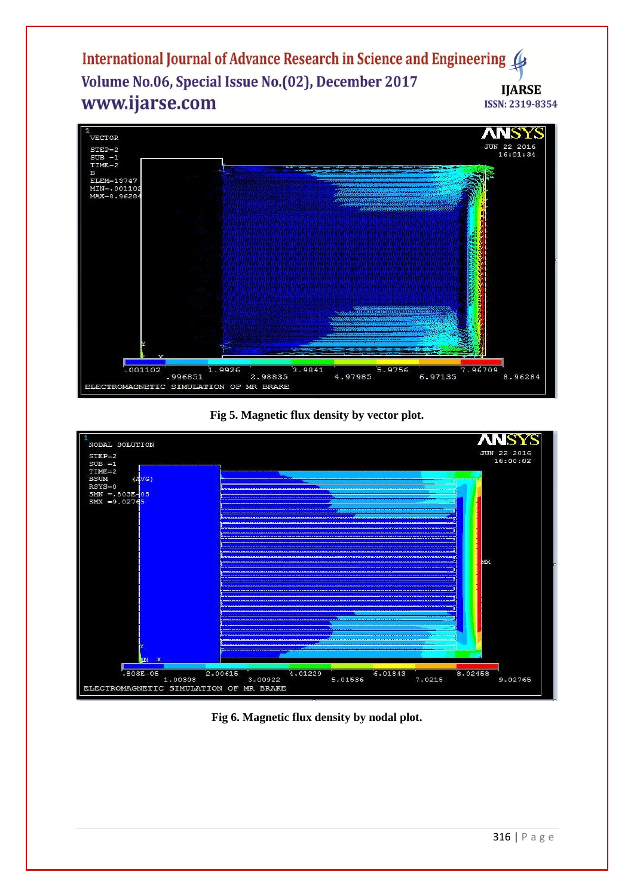

**Fig 5. Magnetic flux density by vector plot.**



**Fig 6. Magnetic flux density by nodal plot.**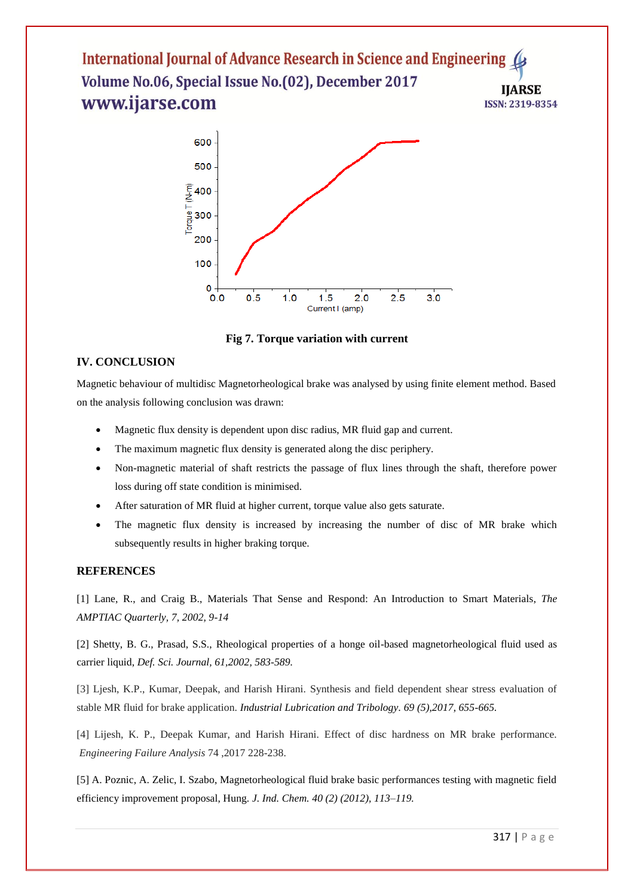



## **IV. CONCLUSION**

Magnetic behaviour of multidisc Magnetorheological brake was analysed by using finite element method. Based on the analysis following conclusion was drawn:

- Magnetic flux density is dependent upon disc radius, MR fluid gap and current.
- The maximum magnetic flux density is generated along the disc periphery.
- Non-magnetic material of shaft restricts the passage of flux lines through the shaft, therefore power loss during off state condition is minimised.
- After saturation of MR fluid at higher current, torque value also gets saturate.
- The magnetic flux density is increased by increasing the number of disc of MR brake which subsequently results in higher braking torque.

#### **REFERENCES**

[1] Lane, R., and Craig B., Materials That Sense and Respond: An Introduction to Smart Materials, *The AMPTIAC Quarterly, 7, 2002, 9-14*

[2] Shetty, B. G., Prasad, S.S., Rheological properties of a honge oil-based magnetorheological fluid used as carrier liquid, *Def. Sci. Journal, 61,2002, 583-589.*

[3] Ljesh, K.P., Kumar, Deepak, and Harish Hirani. Synthesis and field dependent shear stress evaluation of stable MR fluid for brake application. *Industrial Lubrication and Tribology. 69 (5),2017, 655-665.*

[4] Lijesh, K. P., Deepak Kumar, and Harish Hirani. Effect of disc hardness on MR brake performance. *Engineering Failure Analysis* 74 ,2017 228-238.

[5] A. Poznic, A. Zelic, I. Szabo, Magnetorheological fluid brake basic performances testing with magnetic field efficiency improvement proposal, Hung. *J. Ind. Chem. 40 (2) (2012), 113–119.*